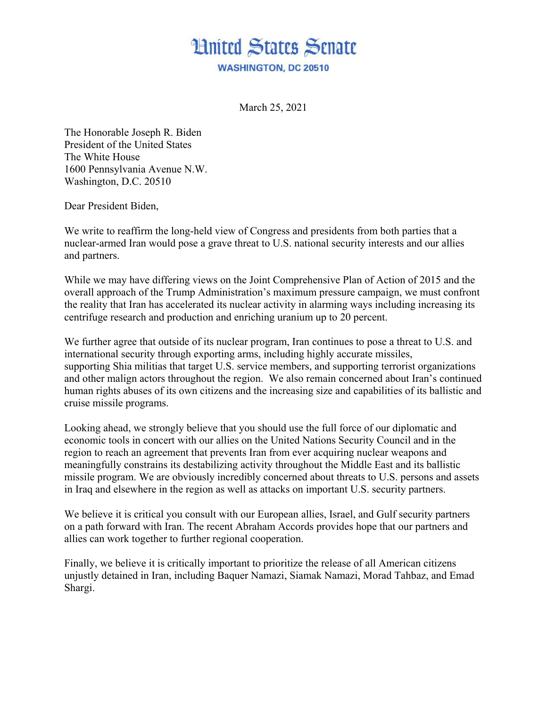

March 25, 2021

The Honorable Joseph R. Biden President of the United States The White House 1600 Pennsylvania Avenue N.W. Washington, D.C. 20510

Dear President Biden,

We write to reaffirm the long-held view of Congress and presidents from both parties that a nuclear-armed Iran would pose a grave threat to U.S. national security interests and our allies and partners.

While we may have differing views on the Joint Comprehensive Plan of Action of 2015 and the overall approach of the Trump Administration's maximum pressure campaign, we must confront the reality that Iran has accelerated its nuclear activity in alarming ways including increasing its centrifuge research and production and enriching uranium up to 20 percent.

We further agree that outside of its nuclear program, Iran continues to pose a threat to U.S. and international security through exporting arms, including highly accurate missiles, supporting Shia militias that target U.S. service members, and supporting terrorist organizations and other malign actors throughout the region. We also remain concerned about Iran's continued human rights abuses of its own citizens and the increasing size and capabilities of its ballistic and cruise missile programs.

Looking ahead, we strongly believe that you should use the full force of our diplomatic and economic tools in concert with our allies on the United Nations Security Council and in the region to reach an agreement that prevents Iran from ever acquiring nuclear weapons and meaningfully constrains its destabilizing activity throughout the Middle East and its ballistic missile program. We are obviously incredibly concerned about threats to U.S. persons and assets in Iraq and elsewhere in the region as well as attacks on important U.S. security partners.

We believe it is critical you consult with our European allies, Israel, and Gulf security partners on a path forward with Iran. The recent Abraham Accords provides hope that our partners and allies can work together to further regional cooperation.

Finally, we believe it is critically important to prioritize the release of all American citizens unjustly detained in Iran, including Baquer Namazi, Siamak Namazi, Morad Tahbaz, and Emad Shargi.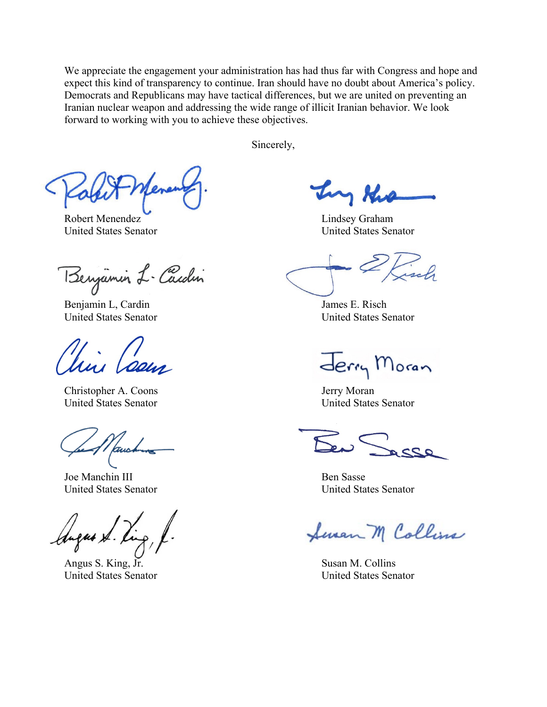We appreciate the engagement your administration has had thus far with Congress and hope and expect this kind of transparency to continue. Iran should have no doubt about America's policy. Democrats and Republicans may have tactical differences, but we are united on preventing an Iranian nuclear weapon and addressing the wide range of illicit Iranian behavior. We look forward to working with you to achieve these objectives.

Sincerely,

Robert Menendez Lindsey Graham United States Senator United States Senator

Benjamin L-Cardin

Benjamin L, Cardin James E. Risch

Christopher A. Coons Jerry Moran United States Senator United States Senator

Joe Manchin III Ben Sasse

Augus S. R

Angus S. King, Jr. Susan M. Collins United States Senator United States Senator

try the

United States Senator United States Senator

Jerry Moran

United States Senator United States Senator

Seven M Collins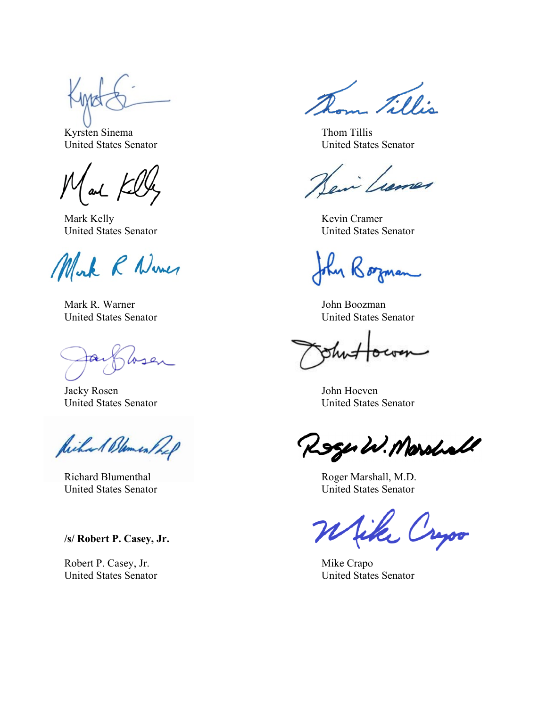Kyrsten Sinema Thom Tillis

Mark Kelly Kevin Cramer

Mork R Numer

Mark R. Warner John Boozman

Jacky Rosen John Hoeven

Richard Blemen Prof

**/s/ Robert P. Casey, Jr.**

Robert P. Casey, Jr. Mike Crapo

Fillis

United States Senator United States Senator

United States Senator United States Senator

4 Borman

United States Senator United States Senator

United States Senator United States Senator

Roger W. Marshall

Richard Blumenthal Roger Marshall, M.D. United States Senator United States Senator

fike

United States Senator United States Senator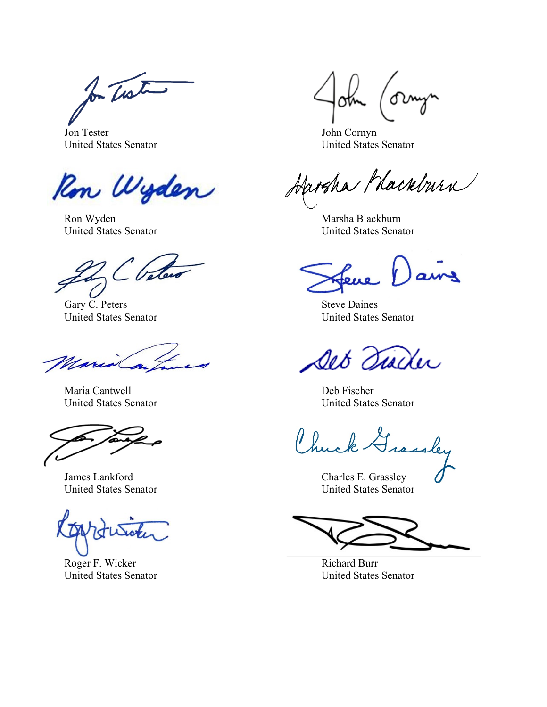for The two

Jon Tester John Cornyn United States Senator United States Senator

Ron Wyden

Ron Wyden Marsha Blackburn Marsha Blackburn United States Senator United States Senator

C Vele

Gary C. Peters Steve Daines

Maria

Maria Cantwell **Deb Fischer** 

James Lankford Charles E. Grassley

Roger F. Wicker Richard Burr

Harsha Macabura

ains

United States Senator United States Senator

Det Tischer

United States Senator United States Senator

Chuck A

United States Senator United States Senator

United States Senator United States Senator